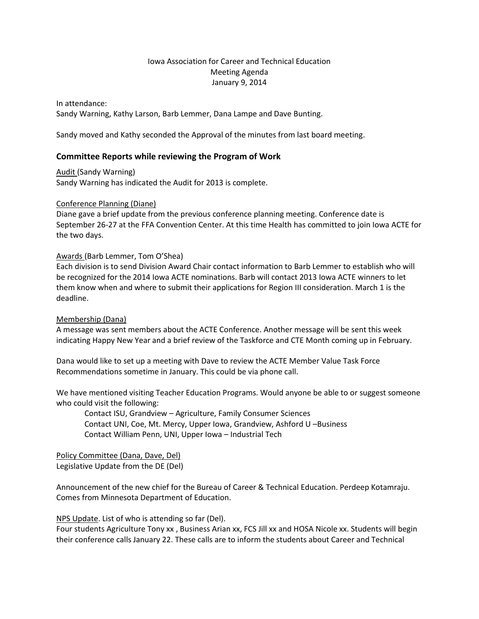# Iowa Association for Career and Technical Education Meeting Agenda January 9, 2014

In attendance: Sandy Warning, Kathy Larson, Barb Lemmer, Dana Lampe and Dave Bunting.

Sandy moved and Kathy seconded the Approval of the minutes from last board meeting.

# **Committee Reports while reviewing the Program of Work**

Audit (Sandy Warning) Sandy Warning has indicated the Audit for 2013 is complete.

#### Conference Planning (Diane)

Diane gave a brief update from the previous conference planning meeting. Conference date is September 26-27 at the FFA Convention Center. At this time Health has committed to join Iowa ACTE for the two days.

#### Awards (Barb Lemmer, Tom O'Shea)

Each division is to send Division Award Chair contact information to Barb Lemmer to establish who will be recognized for the 2014 Iowa ACTE nominations. Barb will contact 2013 Iowa ACTE winners to let them know when and where to submit their applications for Region III consideration. March 1 is the deadline.

### Membership (Dana)

A message was sent members about the ACTE Conference. Another message will be sent this week indicating Happy New Year and a brief review of the Taskforce and CTE Month coming up in February.

Dana would like to set up a meeting with Dave to review the ACTE Member Value Task Force Recommendations sometime in January. This could be via phone call.

We have mentioned visiting Teacher Education Programs. Would anyone be able to or suggest someone who could visit the following:

Contact ISU, Grandview – Agriculture, Family Consumer Sciences Contact UNI, Coe, Mt. Mercy, Upper Iowa, Grandview, Ashford U –Business Contact William Penn, UNI, Upper Iowa – Industrial Tech

Policy Committee (Dana, Dave, Del) Legislative Update from the DE (Del)

Announcement of the new chief for the Bureau of Career & Technical Education. Perdeep Kotamraju. Comes from Minnesota Department of Education.

NPS Update. List of who is attending so far (Del).

Four students Agriculture Tony xx , Business Arian xx, FCS Jill xx and HOSA Nicole xx. Students will begin their conference calls January 22. These calls are to inform the students about Career and Technical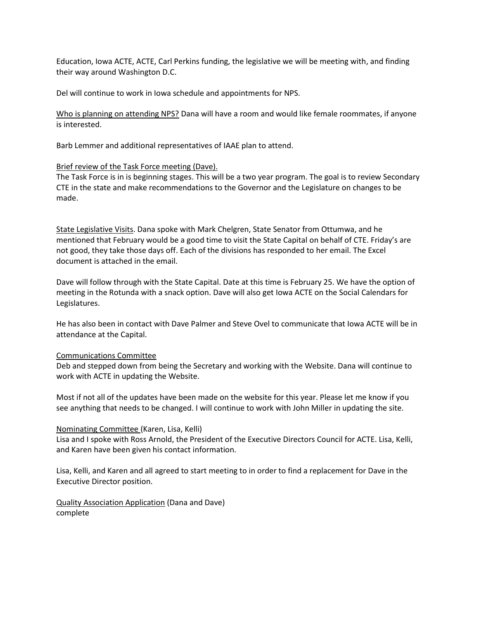Education, Iowa ACTE, ACTE, Carl Perkins funding, the legislative we will be meeting with, and finding their way around Washington D.C.

Del will continue to work in Iowa schedule and appointments for NPS.

Who is planning on attending NPS? Dana will have a room and would like female roommates, if anyone is interested.

Barb Lemmer and additional representatives of IAAE plan to attend.

## Brief review of the Task Force meeting (Dave).

The Task Force is in is beginning stages. This will be a two year program. The goal is to review Secondary CTE in the state and make recommendations to the Governor and the Legislature on changes to be made.

State Legislative Visits. Dana spoke with Mark Chelgren, State Senator from Ottumwa, and he mentioned that February would be a good time to visit the State Capital on behalf of CTE. Friday's are not good, they take those days off. Each of the divisions has responded to her email. The Excel document is attached in the email.

Dave will follow through with the State Capital. Date at this time is February 25. We have the option of meeting in the Rotunda with a snack option. Dave will also get Iowa ACTE on the Social Calendars for Legislatures.

He has also been in contact with Dave Palmer and Steve Ovel to communicate that Iowa ACTE will be in attendance at the Capital.

### Communications Committee

Deb and stepped down from being the Secretary and working with the Website. Dana will continue to work with ACTE in updating the Website.

Most if not all of the updates have been made on the website for this year. Please let me know if you see anything that needs to be changed. I will continue to work with John Miller in updating the site.

### Nominating Committee (Karen, Lisa, Kelli)

Lisa and I spoke with Ross Arnold, the President of the Executive Directors Council for ACTE. Lisa, Kelli, and Karen have been given his contact information.

Lisa, Kelli, and Karen and all agreed to start meeting to in order to find a replacement for Dave in the Executive Director position.

Quality Association Application (Dana and Dave) complete